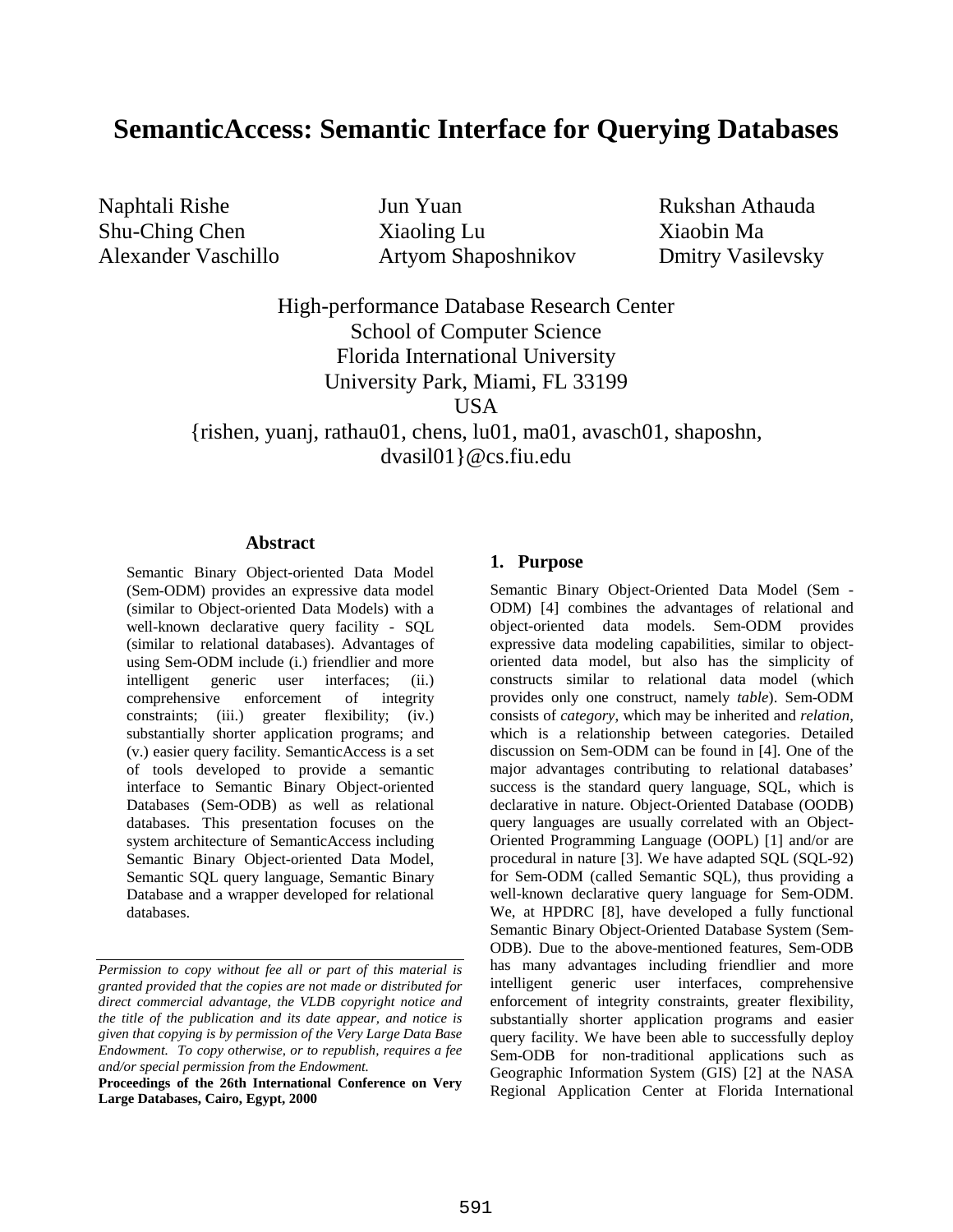# **SemanticAccess: Semantic Interface for Querying Databases**

Naphtali Rishe Jun Yuan Rukshan Athauda Shu-Ching Chen Xiaoling Lu Xiaobin Ma Alexander Vaschillo Artyom Shaposhnikov Dmitry Vasilevsky

High-performance Database Research Center School of Computer Science Florida International University University Park, Miami, FL 33199 USA

{rishen, yuanj, rathau01, chens, lu01, ma01, avasch01, shaposhn, dvasil01}@cs.fiu.edu

#### **Abstract**

Semantic Binary Object-oriented Data Model (Sem-ODM) provides an expressive data model (similar to Object-oriented Data Models) with a well-known declarative query facility - SQL (similar to relational databases). Advantages of using Sem-ODM include (i.) friendlier and more intelligent generic user interfaces; (ii.) comprehensive enforcement of integrity constraints; (iii.) greater flexibility; (iv.) substantially shorter application programs; and (v.) easier query facility. SemanticAccess is a set of tools developed to provide a semantic interface to Semantic Binary Object-oriented Databases (Sem-ODB) as well as relational databases. This presentation focuses on the system architecture of SemanticAccess including Semantic Binary Object-oriented Data Model, Semantic SQL query language, Semantic Binary Database and a wrapper developed for relational databases.

#### **1. Purpose**

Semantic Binary Object-Oriented Data Model (Sem - ODM) [4] combines the advantages of relational and object-oriented data models. Sem-ODM provides expressive data modeling capabilities, similar to objectoriented data model, but also has the simplicity of constructs similar to relational data model (which provides only one construct, namely *table*). Sem-ODM consists of *category*, which may be inherited and *relation*, which is a relationship between categories. Detailed discussion on Sem-ODM can be found in [4]. One of the major advantages contributing to relational databases' success is the standard query language, SQL, which is declarative in nature. Object-Oriented Database (OODB) query languages are usually correlated with an Object-Oriented Programming Language (OOPL) [1] and/or are procedural in nature [3]. We have adapted SQL (SQL-92) for Sem-ODM (called Semantic SQL), thus providing a well-known declarative query language for Sem-ODM. We, at HPDRC [8], have developed a fully functional Semantic Binary Object-Oriented Database System (Sem-ODB). Due to the above-mentioned features, Sem-ODB has many advantages including friendlier and more intelligent generic user interfaces, comprehensive enforcement of integrity constraints, greater flexibility, substantially shorter application programs and easier query facility. We have been able to successfully deploy Sem-ODB for non-traditional applications such as Geographic Information System (GIS) [2] at the NASA Regional Application Center at Florida International

*Permission to copy without fee all or part of this material is granted provided that the copies are not made or distributed for direct commercial advantage, the VLDB copyright notice and the title of the publication and its date appear, and notice is given that copying is by permission of the Very Large Data Base Endowment. To copy otherwise, or to republish, requires a fee and/or special permission from the Endowment.*

**Proceedings of the 26th International Conference on Very Large Databases, Cairo, Egypt, 2000**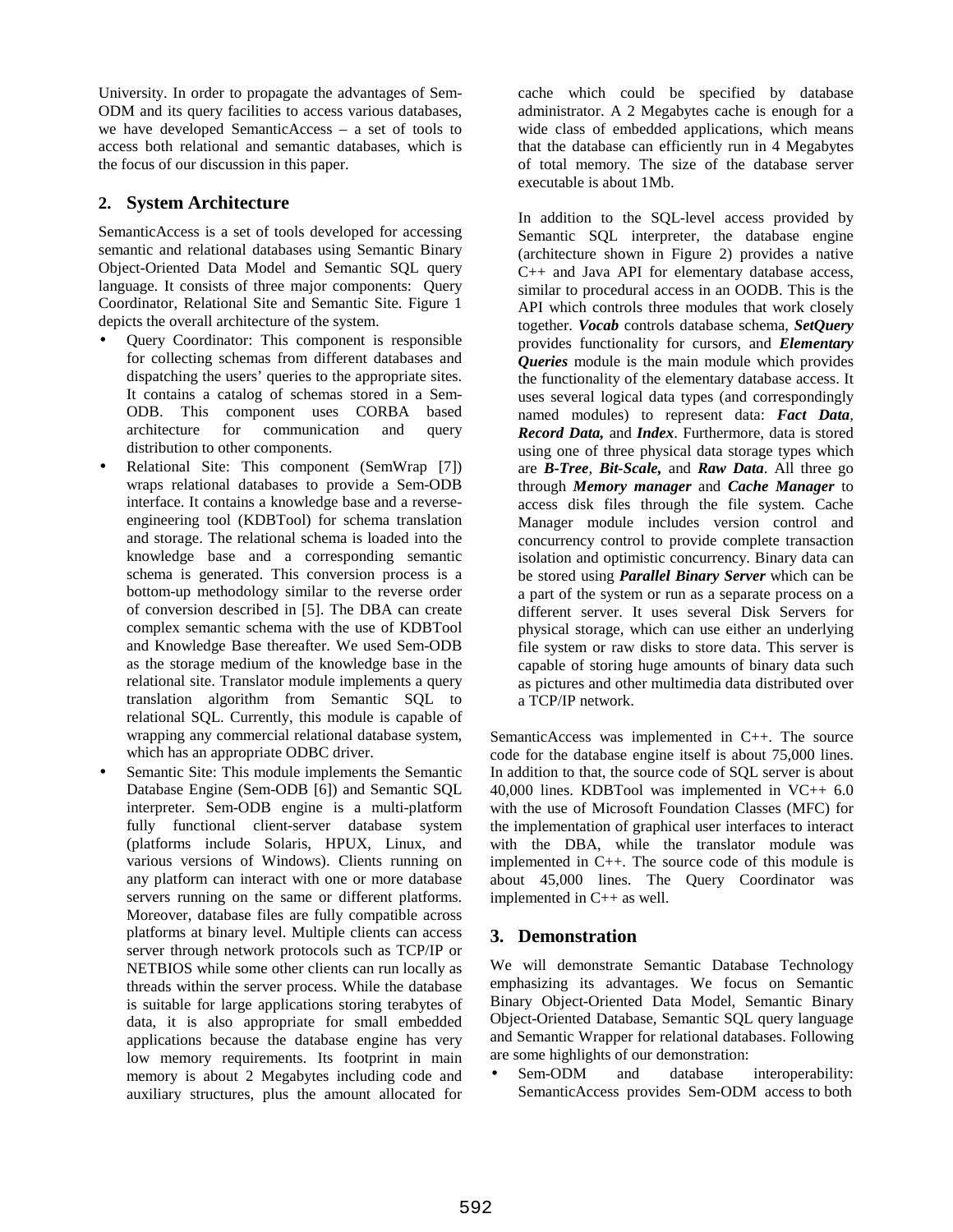University. In order to propagate the advantages of Sem-ODM and its query facilities to access various databases, we have developed SemanticAccess – a set of tools to access both relational and semantic databases, which is the focus of our discussion in this paper.

#### **2. System Architecture**

SemanticAccess is a set of tools developed for accessing semantic and relational databases using Semantic Binary Object-Oriented Data Model and Semantic SQL query language. It consists of three major components: Query Coordinator, Relational Site and Semantic Site. Figure 1 depicts the overall architecture of the system.

- Query Coordinator: This component is responsible for collecting schemas from different databases and dispatching the users' queries to the appropriate sites. It contains a catalog of schemas stored in a Sem-ODB. This component uses CORBA based architecture for communication and query distribution to other components.
- Relational Site: This component (SemWrap [7]) wraps relational databases to provide a Sem-ODB interface. It contains a knowledge base and a reverseengineering tool (KDBTool) for schema translation and storage. The relational schema is loaded into the knowledge base and a corresponding semantic schema is generated. This conversion process is a bottom-up methodology similar to the reverse order of conversion described in [5]. The DBA can create complex semantic schema with the use of KDBTool and Knowledge Base thereafter. We used Sem-ODB as the storage medium of the knowledge base in the relational site. Translator module implements a query translation algorithm from Semantic SQL to relational SQL. Currently, this module is capable of wrapping any commercial relational database system, which has an appropriate ODBC driver.
- Semantic Site: This module implements the Semantic Database Engine (Sem-ODB [6]) and Semantic SQL interpreter. Sem-ODB engine is a multi-platform fully functional client-server database system (platforms include Solaris, HPUX, Linux, and various versions of Windows). Clients running on any platform can interact with one or more database servers running on the same or different platforms. Moreover, database files are fully compatible across platforms at binary level. Multiple clients can access server through network protocols such as TCP/IP or NETBIOS while some other clients can run locally as threads within the server process. While the database is suitable for large applications storing terabytes of data, it is also appropriate for small embedded applications because the database engine has very low memory requirements. Its footprint in main memory is about 2 Megabytes including code and auxiliary structures, plus the amount allocated for

cache which could be specified by database administrator. A 2 Megabytes cache is enough for a wide class of embedded applications, which means that the database can efficiently run in 4 Megabytes of total memory. The size of the database server executable is about 1Mb.

In addition to the SQL-level access provided by Semantic SQL interpreter, the database engine (architecture shown in Figure 2) provides a native C++ and Java API for elementary database access, similar to procedural access in an OODB. This is the API which controls three modules that work closely together. *Vocab* controls database schema, *SetQuery* provides functionality for cursors, and *Elementary Queries* module is the main module which provides the functionality of the elementary database access. It uses several logical data types (and correspondingly named modules) to represent data: *Fact Data, Record Data,* and *Index*. Furthermore, data is stored using one of three physical data storage types which are *B-Tree, Bit-Scale,* and *Raw Data*. All three go through *Memory manager* and *Cache Manager* to access disk files through the file system. Cache Manager module includes version control and concurrency control to provide complete transaction isolation and optimistic concurrency. Binary data can be stored using *Parallel Binary Server* which can be a part of the system or run as a separate process on a different server. It uses several Disk Servers for physical storage, which can use either an underlying file system or raw disks to store data. This server is capable of storing huge amounts of binary data such as pictures and other multimedia data distributed over a TCP/IP network.

SemanticAccess was implemented in C++. The source code for the database engine itself is about 75,000 lines. In addition to that, the source code of SQL server is about 40,000 lines. KDBTool was implemented in VC++ 6.0 with the use of Microsoft Foundation Classes (MFC) for the implementation of graphical user interfaces to interact with the DBA, while the translator module was implemented in C++. The source code of this module is about 45,000 lines. The Query Coordinator was implemented in C++ as well.

# **3. Demonstration**

We will demonstrate Semantic Database Technology emphasizing its advantages. We focus on Semantic Binary Object-Oriented Data Model, Semantic Binary Object-Oriented Database, Semantic SQL query language and Semantic Wrapper for relational databases. Following are some highlights of our demonstration:

• Sem-ODM and database interoperability: SemanticAccess provides Sem-ODM access to both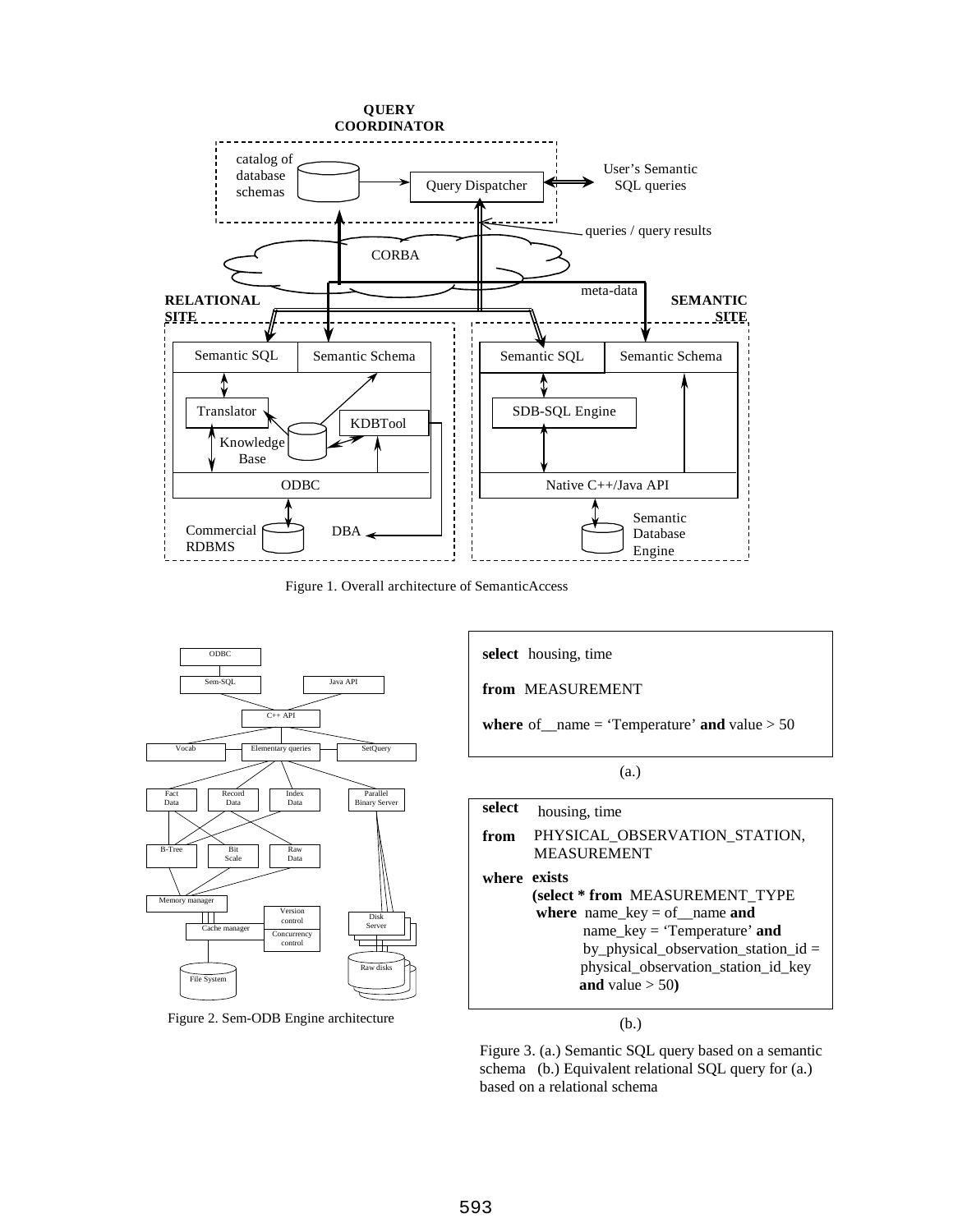

Figure 1. Overall architecture of SemanticAccess



Figure 2. Sem-ODB Engine architecture

**select** housing, time **from** MEASUREMENT **where** of \_\_name = 'Temperature' **and** value  $> 50$ **select** housing, time **from** PHYSICAL\_OBSERVATION\_STATION, MEASUREMENT **exists where (select \* from** MEASUREMENT\_TYPE **where** name\_key = of\_\_name **and** name\_key = 'Temperature' **and** by\_physical\_observation\_station\_id = physical\_observation\_station\_id\_key **and** value  $>$  50) (a.)

(b.)

Figure 3. (a.) Semantic SQL query based on a semantic schema (b.) Equivalent relational SQL query for (a.) based on a relational schema